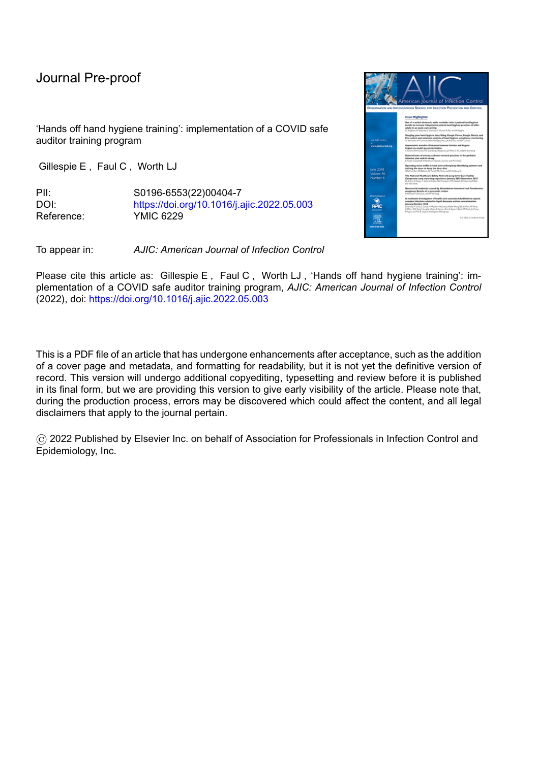# Journal Pre-proof

'Hands off hand hygiene training': implementation of a COVID safe auditor training program

Gillespie E , Faul C , Worth LJ

PII: S0196-6553(22)00404-7 DOI: <https://doi.org/10.1016/j.ajic.2022.05.003> Reference: YMIC 6229

To appear in: *AJIC: American Journal of Infection Control*

Please cite this article as: Gillespie E , Faul C , Worth LJ , 'Hands off hand hygiene training': implementation of a COVID safe auditor training program, *AJIC: American Journal of Infection Control* (2022), doi: <https://doi.org/10.1016/j.ajic.2022.05.003>

This is a PDF file of an article that has undergone enhancements after acceptance, such as the addition of a cover page and metadata, and formatting for readability, but it is not yet the definitive version of record. This version will undergo additional copyediting, typesetting and review before it is published in its final form, but we are providing this version to give early visibility of the article. Please note that, during the production process, errors may be discovered which could affect the content, and all legal disclaimers that apply to the journal pertain.

© 2022 Published by Elsevier Inc. on behalf of Association for Professionals in Infection Control and Epidemiology, Inc.

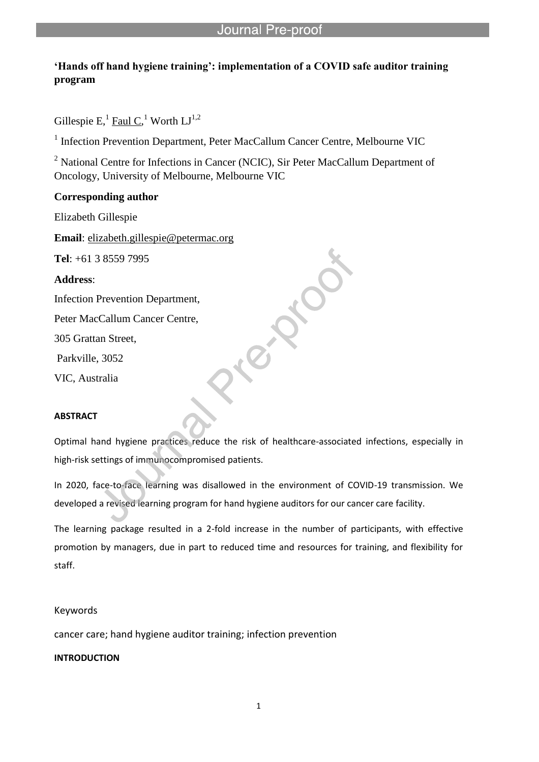# **'Hands off hand hygiene training': implementation of a COVID safe auditor training program**

l

Gillespie E, $^1$  <u>Faul C</u>,<sup>1</sup> Worth LJ<sup>1,2</sup>

<sup>1</sup> Infection Prevention Department, Peter MacCallum Cancer Centre, Melbourne VIC

<sup>2</sup> National Centre for Infections in Cancer (NCIC), Sir Peter MacCallum Department of Oncology, University of Melbourne, Melbourne VIC

## **Corresponding author**

Elizabeth Gillespie

**Email**: elizabeth.gillespie@petermac.org

**Tel**: +61 3 8559 7995

**Address**:

Infection Prevention Department,

Peter MacCallum Cancer Centre,

305 Grattan Street,

Parkville, 3052

VIC, Australia

## **ABSTRACT**

Optimal hand hygiene practices reduce the risk of healthcare-associated infections, especially in high-risk settings of immunocompromised patients.

In 2020, face-to-face learning was disallowed in the environment of COVID-19 transmission. We developed a revised learning program for hand hygiene auditors for our cancer care facility.

The learning package resulted in a 2-fold increase in the number of participants, with effective promotion by managers, due in part to reduced time and resources for training, and flexibility for staff.

## Keywords

cancer care; hand hygiene auditor training; infection prevention

# **INTRODUCTION**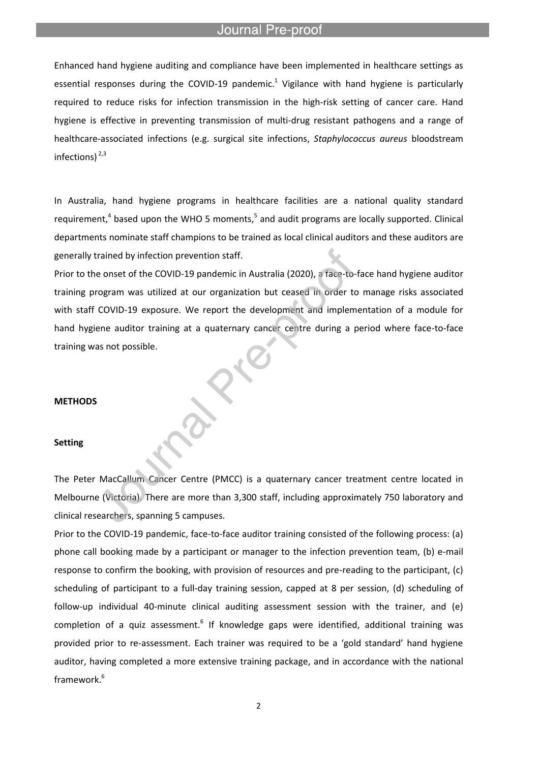### Journal Pre-proof

l

Enhanced hand hygiene auditing and compliance have been implemented in healthcare settings as essential responses during the COVID-19 pandemic.<sup>1</sup> Vigilance with hand hygiene is particularly required to reduce risks for infection transmission in the high-risk setting of cancer care. Hand hygiene is effective in preventing transmission of multi-drug resistant pathogens and a range of healthcare-associated infections (e.g. surgical site infections, *Staphylococcus aureus* bloodstream infections)<sup>2,3</sup>

In Australia, hand hygiene programs in healthcare facilities are a national quality standard requirement,<sup>4</sup> based upon the WHO 5 moments,<sup>5</sup> and audit programs are locally supported. Clinical departments nominate staff champions to be trained as local clinical auditors and these auditors are generally trained by infection prevention staff.

Prior to the onset of the COVID-19 pandemic in Australia (2020), a face-to-face hand hygiene auditor training program was utilized at our organization but ceased in order to manage risks associated with staff COVID-19 exposure. We report the development and implementation of a module for hand hygiene auditor training at a quaternary cancer centre during a period where face-to-face training was not possible.

#### **METHODS**

#### **Setting**

The Peter MacCallum Cancer Centre (PMCC) is a quaternary cancer treatment centre located in Melbourne (Victoria). There are more than 3,300 staff, including approximately 750 laboratory and clinical researchers, spanning 5 campuses.

Prior to the COVID-19 pandemic, face-to-face auditor training consisted of the following process: (a) phone call booking made by a participant or manager to the infection prevention team, (b) e-mail response to confirm the booking, with provision of resources and pre-reading to the participant, (c) scheduling of participant to a full-day training session, capped at 8 per session, (d) scheduling of follow-up individual 40-minute clinical auditing assessment session with the trainer, and (e) completion of a quiz assessment.<sup>6</sup> If knowledge gaps were identified, additional training was provided prior to re-assessment. Each trainer was required to be a 'gold standard' hand hygiene auditor, having completed a more extensive training package, and in accordance with the national framework. 6

2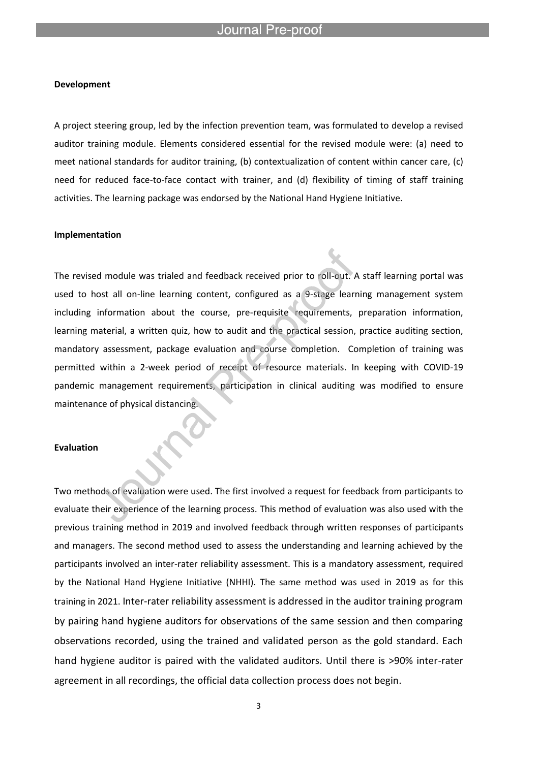l

#### **Development**

A project steering group, led by the infection prevention team, was formulated to develop a revised auditor training module. Elements considered essential for the revised module were: (a) need to meet national standards for auditor training, (b) contextualization of content within cancer care, (c) need for reduced face-to-face contact with trainer, and (d) flexibility of timing of staff training activities. The learning package was endorsed by the National Hand Hygiene Initiative.

#### **Implementation**

The revised module was trialed and feedback received prior to roll-out. A staff learning portal was used to host all on-line learning content, configured as a 9-stage learning management system including information about the course, pre-requisite requirements, preparation information, learning material, a written quiz, how to audit and the practical session, practice auditing section, mandatory assessment, package evaluation and course completion. Completion of training was permitted within a 2-week period of receipt of resource materials. In keeping with COVID-19 pandemic management requirements, participation in clinical auditing was modified to ensure maintenance of physical distancing.

### **Evaluation**

Two methods of evaluation were used. The first involved a request for feedback from participants to evaluate their experience of the learning process. This method of evaluation was also used with the previous training method in 2019 and involved feedback through written responses of participants and managers. The second method used to assess the understanding and learning achieved by the participants involved an inter-rater reliability assessment. This is a mandatory assessment, required by the National Hand Hygiene Initiative (NHHI). The same method was used in 2019 as for this training in 2021. Inter-rater reliability assessment is addressed in the auditor training program by pairing hand hygiene auditors for observations of the same session and then comparing observations recorded, using the trained and validated person as the gold standard. Each hand hygiene auditor is paired with the validated auditors. Until there is >90% inter-rater agreement in all recordings, the official data collection process does not begin.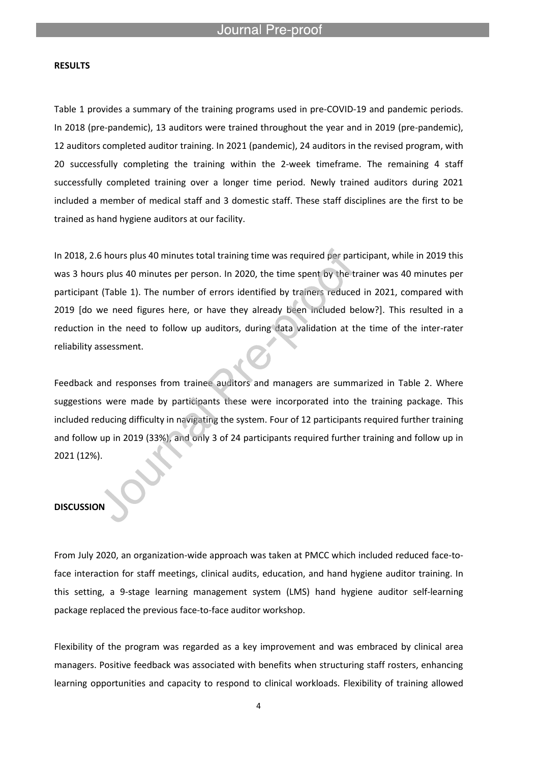l

### **RESULTS**

Table 1 provides a summary of the training programs used in pre-COVID-19 and pandemic periods. In 2018 (pre-pandemic), 13 auditors were trained throughout the year and in 2019 (pre-pandemic), 12 auditors completed auditor training. In 2021 (pandemic), 24 auditors in the revised program, with 20 successfully completing the training within the 2-week timeframe. The remaining 4 staff successfully completed training over a longer time period. Newly trained auditors during 2021 included a member of medical staff and 3 domestic staff. These staff disciplines are the first to be trained as hand hygiene auditors at our facility.

In 2018, 2.6 hours plus 40 minutes total training time was required per participant, while in 2019 this was 3 hours plus 40 minutes per person. In 2020, the time spent by the trainer was 40 minutes per participant (Table 1). The number of errors identified by trainers reduced in 2021, compared with 2019 [do we need figures here, or have they already been included below?]. This resulted in a reduction in the need to follow up auditors, during data validation at the time of the inter-rater reliability assessment.

Feedback and responses from trainee auditors and managers are summarized in Table 2. Where suggestions were made by participants these were incorporated into the training package. This included reducing difficulty in navigating the system. Four of 12 participants required further training and follow up in 2019 (33%), and only 3 of 24 participants required further training and follow up in 2021 (12%).

# **DISCUSSION**

From July 2020, an organization-wide approach was taken at PMCC which included reduced face-toface interaction for staff meetings, clinical audits, education, and hand hygiene auditor training. In this setting, a 9-stage learning management system (LMS) hand hygiene auditor self-learning package replaced the previous face-to-face auditor workshop.

Flexibility of the program was regarded as a key improvement and was embraced by clinical area managers. Positive feedback was associated with benefits when structuring staff rosters, enhancing learning opportunities and capacity to respond to clinical workloads. Flexibility of training allowed

4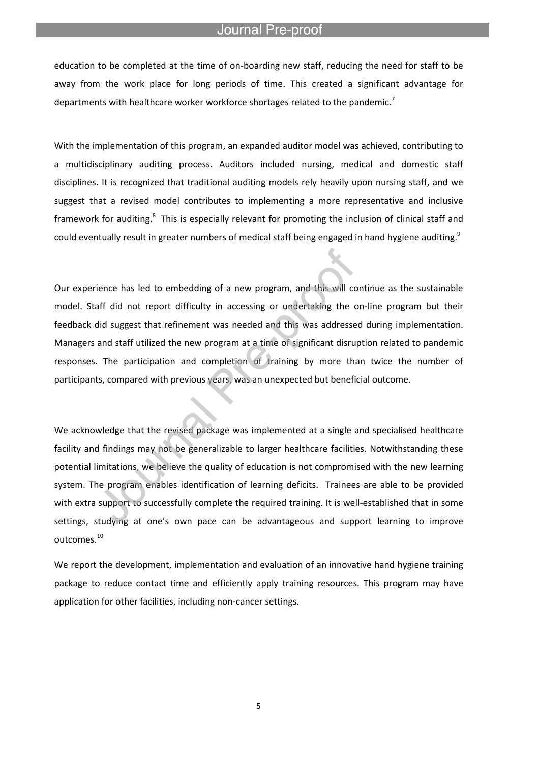### Journal Pre-proo

education to be completed at the time of on-boarding new staff, reducing the need for staff to be away from the work place for long periods of time. This created a significant advantage for departments with healthcare worker workforce shortages related to the pandemic.<sup>7</sup>

l

With the implementation of this program, an expanded auditor model was achieved, contributing to a multidisciplinary auditing process. Auditors included nursing, medical and domestic staff disciplines. It is recognized that traditional auditing models rely heavily upon nursing staff, and we suggest that a revised model contributes to implementing a more representative and inclusive framework for auditing.<sup>8</sup> This is especially relevant for promoting the inclusion of clinical staff and could eventually result in greater numbers of medical staff being engaged in hand hygiene auditing.<sup>9</sup>

Our experience has led to embedding of a new program, and this will continue as the sustainable model. Staff did not report difficulty in accessing or undertaking the on-line program but their feedback did suggest that refinement was needed and this was addressed during implementation. Managers and staff utilized the new program at a time of significant disruption related to pandemic responses. The participation and completion of training by more than twice the number of participants, compared with previous years, was an unexpected but beneficial outcome.

We acknowledge that the revised package was implemented at a single and specialised healthcare facility and findings may not be generalizable to larger healthcare facilities. Notwithstanding these potential limitations, we believe the quality of education is not compromised with the new learning system. The program enables identification of learning deficits. Trainees are able to be provided with extra support to successfully complete the required training. It is well-established that in some settings, studying at one's own pace can be advantageous and support learning to improve outcomes.<sup>10</sup>

We report the development, implementation and evaluation of an innovative hand hygiene training package to reduce contact time and efficiently apply training resources. This program may have application for other facilities, including non-cancer settings.

5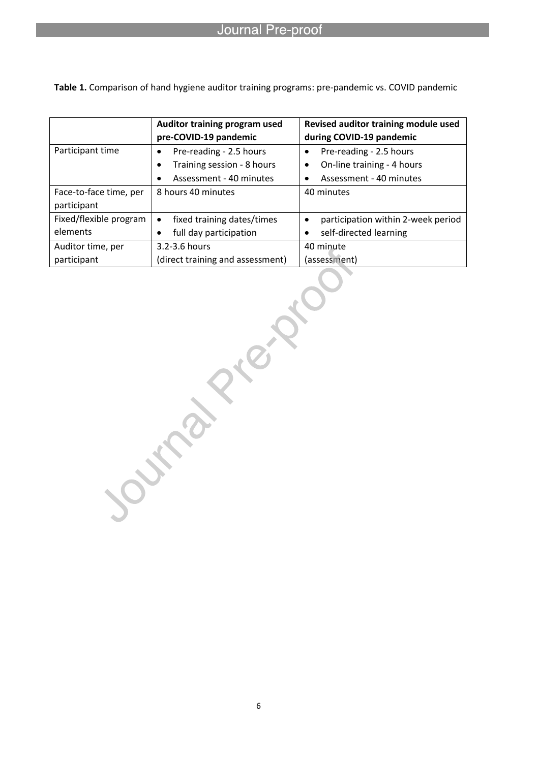# Journal Pre-proof

|                        | Auditor training program used           | Revised auditor training module used    |
|------------------------|-----------------------------------------|-----------------------------------------|
|                        | pre-COVID-19 pandemic                   | during COVID-19 pandemic                |
| Participant time       | Pre-reading - 2.5 hours<br>٠            | Pre-reading - 2.5 hours                 |
|                        | Training session - 8 hours<br>٠         | On-line training - 4 hours<br>٠         |
|                        | Assessment - 40 minutes                 | Assessment - 40 minutes                 |
| Face-to-face time, per | 8 hours 40 minutes                      | 40 minutes                              |
| participant            |                                         |                                         |
| Fixed/flexible program | fixed training dates/times<br>$\bullet$ | participation within 2-week period<br>٠ |
| elements               | full day participation                  | self-directed learning                  |
| Auditor time, per      | 3.2-3.6 hours                           | 40 minute                               |
| participant            | (direct training and assessment)        | (assessment)                            |

**Table 1.** Comparison of hand hygiene auditor training programs: pre-pandemic vs. COVID pandemic

l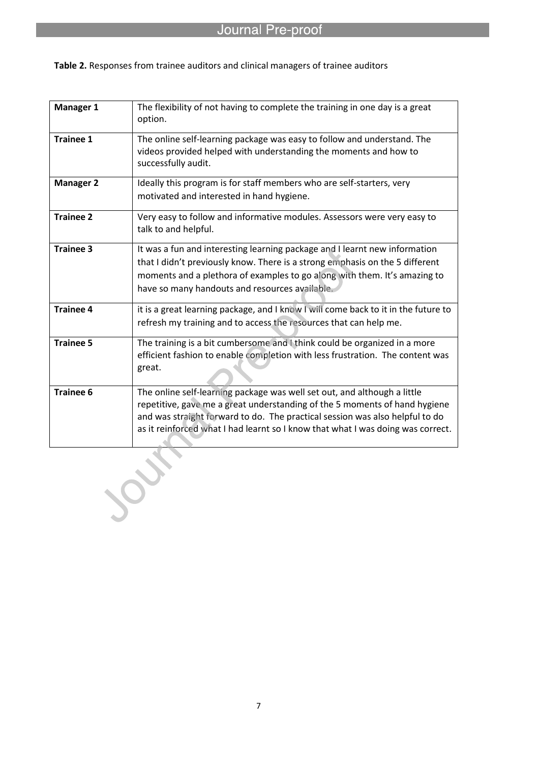| Manager 1        | The flexibility of not having to complete the training in one day is a great<br>option.                                                                                                                                                                                                                                   |
|------------------|---------------------------------------------------------------------------------------------------------------------------------------------------------------------------------------------------------------------------------------------------------------------------------------------------------------------------|
| <b>Trainee 1</b> | The online self-learning package was easy to follow and understand. The<br>videos provided helped with understanding the moments and how to<br>successfully audit.                                                                                                                                                        |
| <b>Manager 2</b> | Ideally this program is for staff members who are self-starters, very<br>motivated and interested in hand hygiene.                                                                                                                                                                                                        |
| <b>Trainee 2</b> | Very easy to follow and informative modules. Assessors were very easy to<br>talk to and helpful.                                                                                                                                                                                                                          |
| <b>Trainee 3</b> | It was a fun and interesting learning package and I learnt new information<br>that I didn't previously know. There is a strong emphasis on the 5 different<br>moments and a plethora of examples to go along with them. It's amazing to<br>have so many handouts and resources available.                                 |
| <b>Trainee 4</b> | it is a great learning package, and I know I will come back to it in the future to<br>refresh my training and to access the resources that can help me.                                                                                                                                                                   |
| <b>Trainee 5</b> | The training is a bit cumbersome and I think could be organized in a more<br>efficient fashion to enable completion with less frustration. The content was<br>great.                                                                                                                                                      |
| <b>Trainee 6</b> | The online self-learning package was well set out, and although a little<br>repetitive, gave me a great understanding of the 5 moments of hand hygiene<br>and was straight forward to do. The practical session was also helpful to do<br>as it reinforced what I had learnt so I know that what I was doing was correct. |

**Table 2.** Responses from trainee auditors and clinical managers of trainee auditors

l